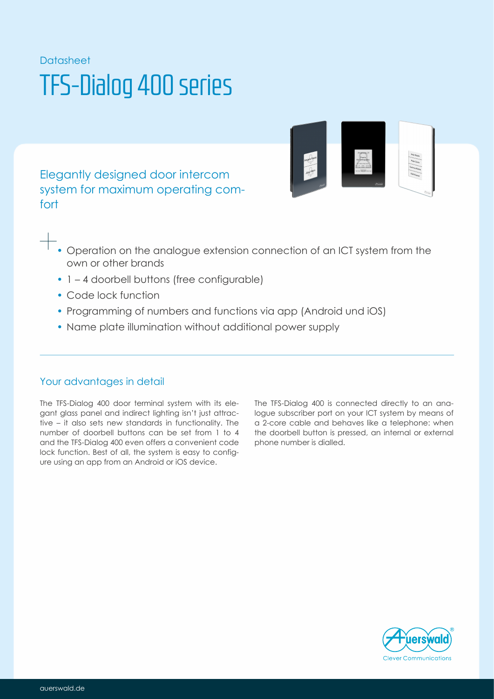# Datasheet TFS-Dialog 400 series

Elegantly designed door intercom system for maximum operating comfort



- Operation on the analogue extension connection of an ICT system from the own or other brands
- 1 4 doorbell buttons (free configurable)
- Code lock function
- Programming of numbers and functions via app (Android und iOS)
- Name plate illumination without additional power supply

### Your advantages in detail

The TFS-Dialog 400 door terminal system with its elegant glass panel and indirect lighting isn't just attractive – it also sets new standards in functionality. The number of doorbell buttons can be set from 1 to 4 and the TFS-Dialog 400 even offers a convenient code lock function. Best of all, the system is easy to configure using an app from an Android or iOS device.

The TFS-Dialog 400 is connected directly to an analogue subscriber port on your ICT system by means of a 2-core cable and behaves like a telephone: when the doorbell button is pressed, an internal or external phone number is dialled.